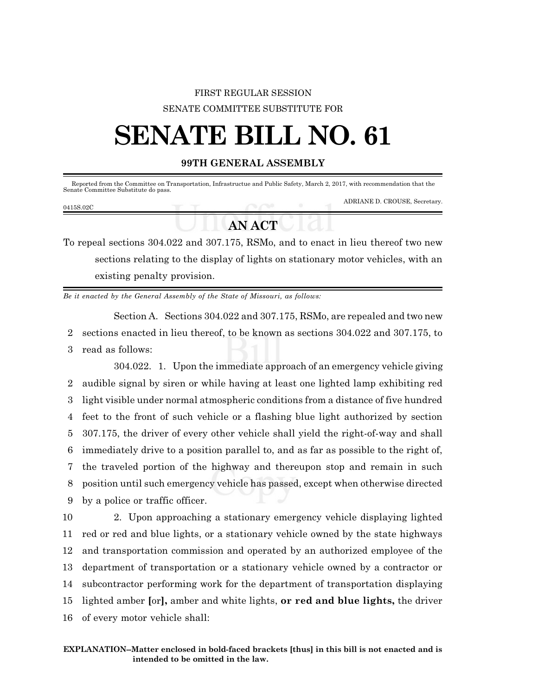## FIRST REGULAR SESSION SENATE COMMITTEE SUBSTITUTE FOR

## **SENATE BILL NO. 61**

## **99TH GENERAL ASSEMBLY**

| Senate Committee Substitute do pass. |  | Reported from the Committee on Transportation. Infrastructue and Public Safety. March 2, 2017, with recommendation that the |
|--------------------------------------|--|-----------------------------------------------------------------------------------------------------------------------------|
| 0415S.02C                            |  | ADRIANE D. CROUSE, Secretary.                                                                                               |

## **AN ACT**

To repeal sections 304.022 and 307.175, RSMo, and to enact in lieu thereof two new sections relating to the display of lights on stationary motor vehicles, with an existing penalty provision.

*Be it enacted by the General Assembly of the State of Missouri, as follows:*

Section A. Sections 304.022 and 307.175, RSMo, are repealed and two new 2 sections enacted in lieu thereof, to be known as sections 304.022 and 307.175, to 3 read as follows:

304.022. 1. Upon the immediate approach of an emergency vehicle giving audible signal by siren or while having at least one lighted lamp exhibiting red light visible under normal atmospheric conditions from a distance of five hundred feet to the front of such vehicle or a flashing blue light authorized by section 307.175, the driver of every other vehicle shall yield the right-of-way and shall immediately drive to a position parallel to, and as far as possible to the right of, the traveled portion of the highway and thereupon stop and remain in such position until such emergency vehicle has passed, except when otherwise directed by a police or traffic officer.

 2. Upon approaching a stationary emergency vehicle displaying lighted red or red and blue lights, or a stationary vehicle owned by the state highways and transportation commission and operated by an authorized employee of the department of transportation or a stationary vehicle owned by a contractor or subcontractor performing work for the department of transportation displaying lighted amber **[**or**],** amber and white lights, **or red and blue lights,** the driver of every motor vehicle shall: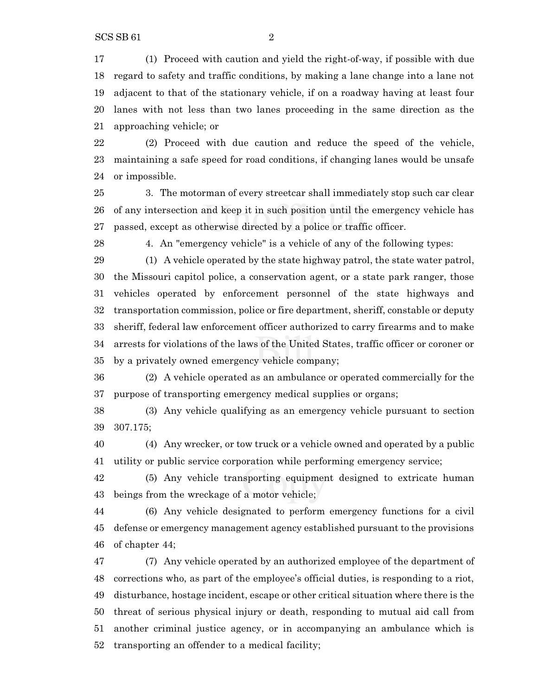(1) Proceed with caution and yield the right-of-way, if possible with due regard to safety and traffic conditions, by making a lane change into a lane not adjacent to that of the stationary vehicle, if on a roadway having at least four lanes with not less than two lanes proceeding in the same direction as the approaching vehicle; or

 (2) Proceed with due caution and reduce the speed of the vehicle, maintaining a safe speed for road conditions, if changing lanes would be unsafe or impossible.

 3. The motorman of every streetcar shall immediately stop such car clear of any intersection and keep it in such position until the emergency vehicle has passed, except as otherwise directed by a police or traffic officer.

4. An "emergency vehicle" is a vehicle of any of the following types:

 (1) A vehicle operated by the state highway patrol, the state water patrol, the Missouri capitol police, a conservation agent, or a state park ranger, those vehicles operated by enforcement personnel of the state highways and transportation commission, police or fire department, sheriff, constable or deputy sheriff, federal law enforcement officer authorized to carry firearms and to make arrests for violations of the laws of the United States, traffic officer or coroner or by a privately owned emergency vehicle company;

 (2) A vehicle operated as an ambulance or operated commercially for the purpose of transporting emergency medical supplies or organs;

 (3) Any vehicle qualifying as an emergency vehicle pursuant to section 307.175;

 (4) Any wrecker, or tow truck or a vehicle owned and operated by a public utility or public service corporation while performing emergency service;

 (5) Any vehicle transporting equipment designed to extricate human beings from the wreckage of a motor vehicle;

 (6) Any vehicle designated to perform emergency functions for a civil defense or emergency management agency established pursuant to the provisions of chapter 44;

 (7) Any vehicle operated by an authorized employee of the department of corrections who, as part of the employee's official duties, is responding to a riot, disturbance, hostage incident, escape or other critical situation where there is the threat of serious physical injury or death, responding to mutual aid call from another criminal justice agency, or in accompanying an ambulance which is transporting an offender to a medical facility;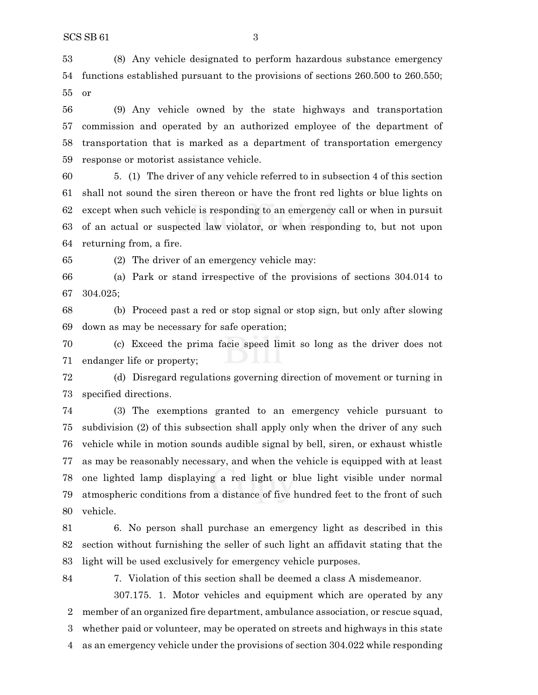(8) Any vehicle designated to perform hazardous substance emergency functions established pursuant to the provisions of sections 260.500 to 260.550; or

 (9) Any vehicle owned by the state highways and transportation commission and operated by an authorized employee of the department of transportation that is marked as a department of transportation emergency response or motorist assistance vehicle.

 5. (1) The driver of any vehicle referred to in subsection 4 of this section shall not sound the siren thereon or have the front red lights or blue lights on except when such vehicle is responding to an emergency call or when in pursuit of an actual or suspected law violator, or when responding to, but not upon returning from, a fire.

(2) The driver of an emergency vehicle may:

 (a) Park or stand irrespective of the provisions of sections 304.014 to 304.025;

 (b) Proceed past a red or stop signal or stop sign, but only after slowing down as may be necessary for safe operation;

 (c) Exceed the prima facie speed limit so long as the driver does not endanger life or property;

 (d) Disregard regulations governing direction of movement or turning in specified directions.

 (3) The exemptions granted to an emergency vehicle pursuant to subdivision (2) of this subsection shall apply only when the driver of any such vehicle while in motion sounds audible signal by bell, siren, or exhaust whistle as may be reasonably necessary, and when the vehicle is equipped with at least one lighted lamp displaying a red light or blue light visible under normal atmospheric conditions from a distance of five hundred feet to the front of such vehicle.

 6. No person shall purchase an emergency light as described in this section without furnishing the seller of such light an affidavit stating that the light will be used exclusively for emergency vehicle purposes.

7. Violation of this section shall be deemed a class A misdemeanor.

307.175. 1. Motor vehicles and equipment which are operated by any member of an organized fire department, ambulance association, or rescue squad, whether paid or volunteer, may be operated on streets and highways in this state as an emergency vehicle under the provisions of section 304.022 while responding